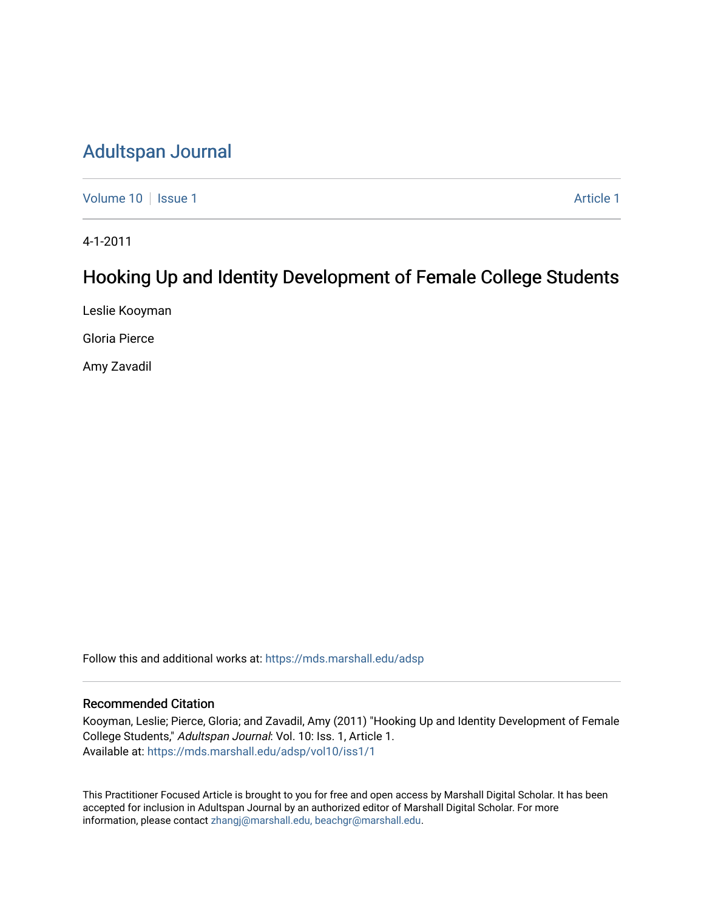# [Adultspan Journal](https://mds.marshall.edu/adsp)

[Volume 10](https://mds.marshall.edu/adsp/vol10) | [Issue 1](https://mds.marshall.edu/adsp/vol10/iss1) Article 1

4-1-2011

# Hooking Up and Identity Development of Female College Students

Leslie Kooyman

Gloria Pierce

Amy Zavadil

Follow this and additional works at: [https://mds.marshall.edu/adsp](https://mds.marshall.edu/adsp?utm_source=mds.marshall.edu%2Fadsp%2Fvol10%2Fiss1%2F1&utm_medium=PDF&utm_campaign=PDFCoverPages) 

## Recommended Citation

Kooyman, Leslie; Pierce, Gloria; and Zavadil, Amy (2011) "Hooking Up and Identity Development of Female College Students," Adultspan Journal: Vol. 10: Iss. 1, Article 1. Available at: [https://mds.marshall.edu/adsp/vol10/iss1/1](https://mds.marshall.edu/adsp/vol10/iss1/1?utm_source=mds.marshall.edu%2Fadsp%2Fvol10%2Fiss1%2F1&utm_medium=PDF&utm_campaign=PDFCoverPages) 

This Practitioner Focused Article is brought to you for free and open access by Marshall Digital Scholar. It has been accepted for inclusion in Adultspan Journal by an authorized editor of Marshall Digital Scholar. For more information, please contact [zhangj@marshall.edu, beachgr@marshall.edu](mailto:zhangj@marshall.edu,%20beachgr@marshall.edu).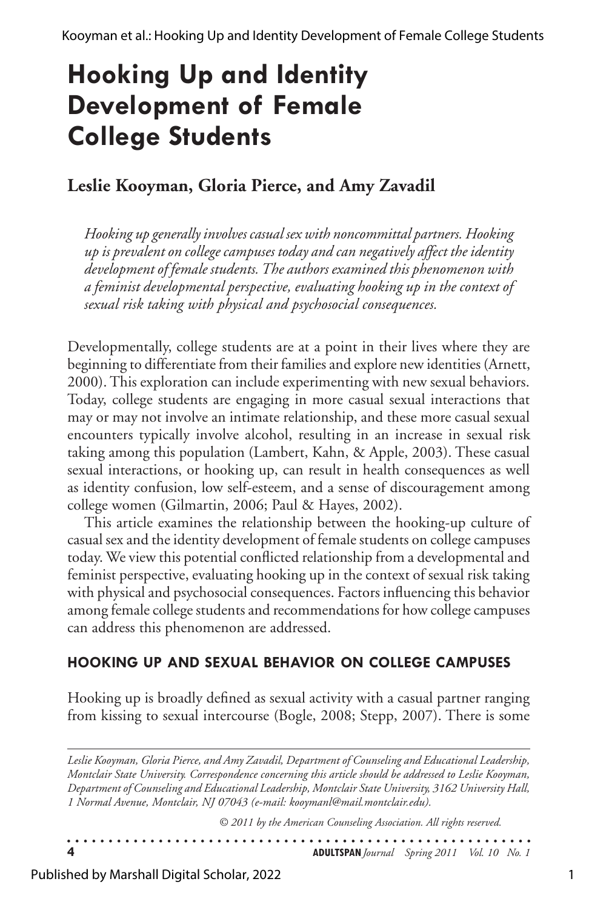# **Hooking Up and Identity Development of Female College Students**

# **Leslie Kooyman, Gloria Pierce, and Amy Zavadil**

*Hooking up generally involves casual sex with noncommittal partners. Hooking up is prevalent on college campuses today and can negatively affect the identity development of female students. The authors examined this phenomenon with a feminist developmental perspective, evaluating hooking up in the context of sexual risk taking with physical and psychosocial consequences.* 

Developmentally, college students are at a point in their lives where they are beginning to differentiate from their families and explore new identities (Arnett, 2000). This exploration can include experimenting with new sexual behaviors. Today, college students are engaging in more casual sexual interactions that may or may not involve an intimate relationship, and these more casual sexual encounters typically involve alcohol, resulting in an increase in sexual risk taking among this population (Lambert, Kahn, & Apple, 2003). These casual sexual interactions, or hooking up, can result in health consequences as well as identity confusion, low self-esteem, and a sense of discouragement among college women (Gilmartin, 2006; Paul & Hayes, 2002).

This article examines the relationship between the hooking-up culture of casual sex and the identity development of female students on college campuses today. We view this potential conflicted relationship from a developmental and feminist perspective, evaluating hooking up in the context of sexual risk taking with physical and psychosocial consequences. Factors influencing this behavior among female college students and recommendations for how college campuses can address this phenomenon are addressed.

## **HOOKING UP AND SEXUAL BEHAVIOR ON COLLEGE CAMPUSES**

Hooking up is broadly defined as sexual activity with a casual partner ranging from kissing to sexual intercourse (Bogle, 2008; Stepp, 2007). There is some

*Leslie Kooyman, Gloria Pierce, and Amy Zavadil, Department of Counseling and Educational Leadership, Montclair State University. Correspondence concerning this article should be addressed to Leslie Kooyman, Department of Counseling and Educational Leadership, Montclair State University, 3162 University Hall, 1 Normal Avenue, Montclair, NJ 07043 (e-mail: kooymanl@mail.montclair.edu).* 

| © 2011 by the American Counseling Association. All rights reserved. |                                                    |
|---------------------------------------------------------------------|----------------------------------------------------|
|                                                                     | <b>ADULTSPAN</b> Journal Spring 2011 Vol. 10 No. 1 |

Published by Marshall Digital Scholar, 2022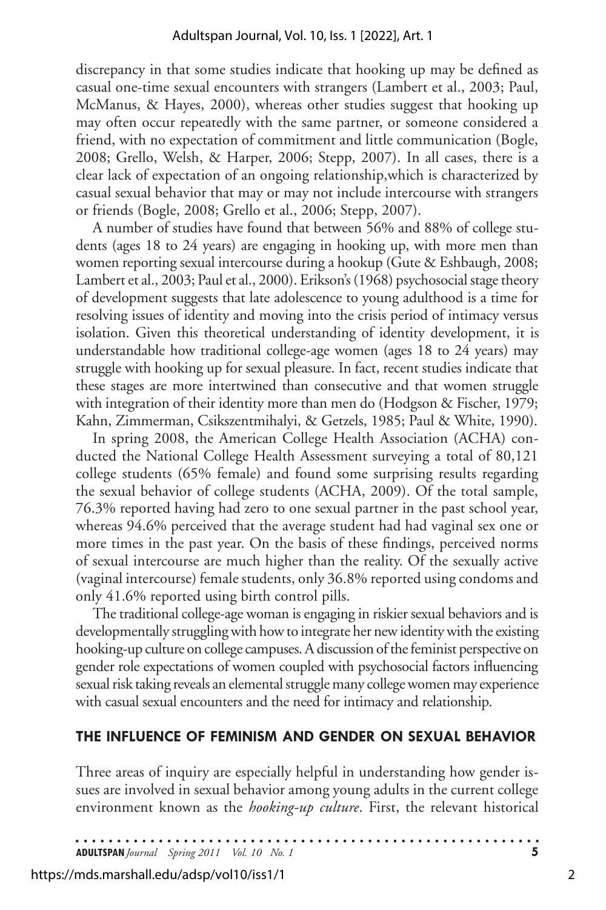discrepancy in that some studies indicate that hooking up may be defined as casual one-time sexual encounters with strangers (Lambert et al., 2003; Paul, McManus, & Hayes, 2000), whereas other studies suggest that hooking up may often occur repeatedly with the same partner, or someone considered a friend, with no expectation of commitment and little communication (Bogle, 2008; Grello, Welsh, & Harper, 2006; Stepp, 2007). In all cases, there is a clear lack of expectation of an ongoing relationship,which is characterized by casual sexual behavior that may or may not include intercourse with strangers or friends (Bogle, 2008; Grello et al., 2006; Stepp, 2007).

A number of studies have found that between 56% and 88% of college students (ages 18 to 24 years) are engaging in hooking up, with more men than women reporting sexual intercourse during a hookup (Gute & Eshbaugh, 2008; Lambert et al., 2003; Paul et al., 2000). Erikson's (1968) psychosocial stage theory of development suggests that late adolescence to young adulthood is a time for resolving issues of identity and moving into the crisis period of intimacy versus isolation. Given this theoretical understanding of identity development, it is understandable how traditional college-age women (ages 18 to 24 years) may struggle with hooking up for sexual pleasure. In fact, recent studies indicate that these stages are more intertwined than consecutive and that women struggle with integration of their identity more than men do (Hodgson & Fischer, 1979; Kahn, Zimmerman, Csikszentmihalyi, & Getzels, 1985; Paul & White, 1990).

In spring 2008, the American College Health Association (ACHA) conducted the National College Health Assessment surveying a total of 80,121 college students (65% female) and found some surprising results regarding the sexual behavior of college students (ACHA, 2009). Of the total sample, 76.3% reported having had zero to one sexual partner in the past school year, whereas 94.6% perceived that the average student had had vaginal sex one or more times in the past year. On the basis of these findings, perceived norms of sexual intercourse are much higher than the reality. Of the sexually active (vaginal intercourse) female students, only 36.8% reported using condoms and only 41.6% reported using birth control pills.

The traditional college-age woman is engaging in riskier sexual behaviors and is developmentally struggling with how to integrate her new identity with the existing hooking-up culture on college campuses. A discussion of the feminist perspective on gender role expectations of women coupled with psychosocial factors influencing sexual risk taking reveals an elemental struggle many college women may experience with casual sexual encounters and the need for intimacy and relationship.

#### **THE INFLUENCE OF FEMINISM AND GENDER ON SEXUAL BEHAVIOR**

Three areas of inquiry are especially helpful in understanding how gender issues are involved in sexual behavior among young adults in the current college environment known as the *hooking-up culture*. First, the relevant historical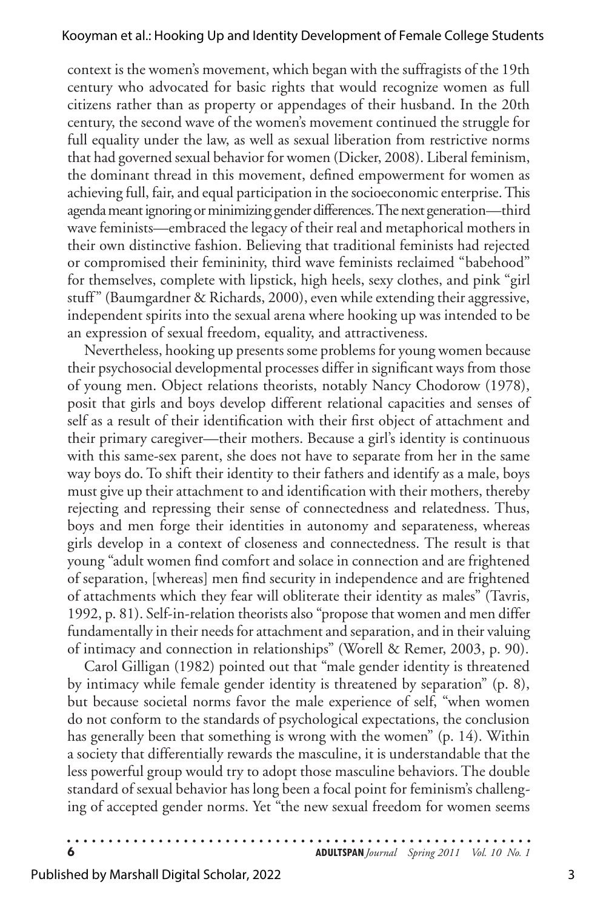context is the women's movement, which began with the suffragists of the 19th century who advocated for basic rights that would recognize women as full citizens rather than as property or appendages of their husband. In the 20th century, the second wave of the women's movement continued the struggle for full equality under the law, as well as sexual liberation from restrictive norms that had governed sexual behavior for women (Dicker, 2008). Liberal feminism, the dominant thread in this movement, defined empowerment for women as achieving full, fair, and equal participation in the socioeconomic enterprise. This agenda meant ignoring or minimizing gender differences. The next generation—third wave feminists—embraced the legacy of their real and metaphorical mothers in their own distinctive fashion. Believing that traditional feminists had rejected or compromised their femininity, third wave feminists reclaimed "babehood" for themselves, complete with lipstick, high heels, sexy clothes, and pink "girl stuff" (Baumgardner & Richards, 2000), even while extending their aggressive, independent spirits into the sexual arena where hooking up was intended to be an expression of sexual freedom, equality, and attractiveness.

Nevertheless, hooking up presents some problems for young women because their psychosocial developmental processes differ in significant ways from those of young men. Object relations theorists, notably Nancy Chodorow (1978), posit that girls and boys develop different relational capacities and senses of self as a result of their identification with their first object of attachment and their primary caregiver—their mothers. Because a girl's identity is continuous with this same-sex parent, she does not have to separate from her in the same way boys do. To shift their identity to their fathers and identify as a male, boys must give up their attachment to and identification with their mothers, thereby rejecting and repressing their sense of connectedness and relatedness. Thus, boys and men forge their identities in autonomy and separateness, whereas girls develop in a context of closeness and connectedness. The result is that young "adult women find comfort and solace in connection and are frightened of separation, [whereas] men find security in independence and are frightened of attachments which they fear will obliterate their identity as males" (Tavris, 1992, p. 81). Self-in-relation theorists also "propose that women and men differ fundamentally in their needs for attachment and separation, and in their valuing of intimacy and connection in relationships" (Worell & Remer, 2003, p. 90).

Carol Gilligan (1982) pointed out that "male gender identity is threatened by intimacy while female gender identity is threatened by separation" (p. 8), but because societal norms favor the male experience of self, "when women do not conform to the standards of psychological expectations, the conclusion has generally been that something is wrong with the women" (p. 14). Within a society that differentially rewards the masculine, it is understandable that the less powerful group would try to adopt those masculine behaviors. The double standard of sexual behavior has long been a focal point for feminism's challenging of accepted gender norms. Yet "the new sexual freedom for women seems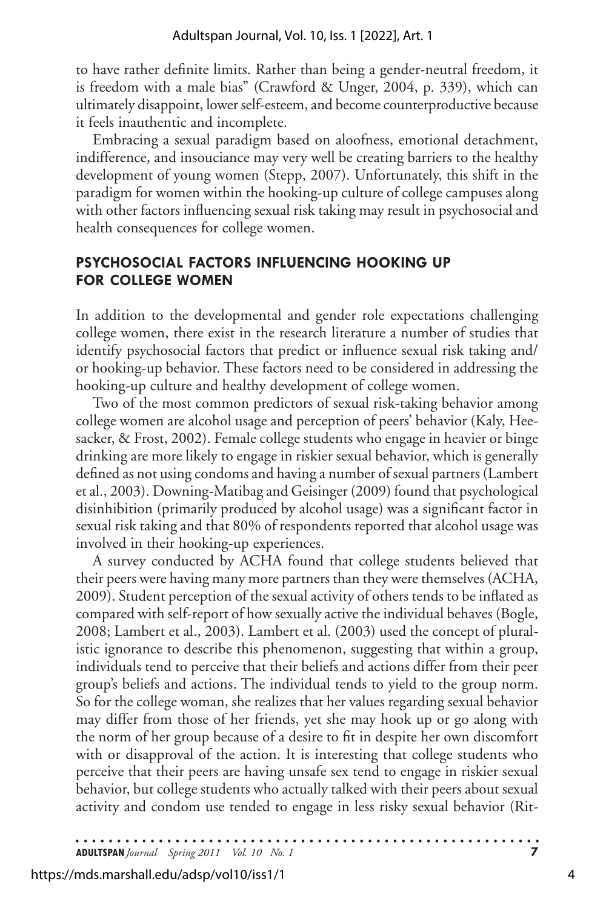to have rather definite limits. Rather than being a gender-neutral freedom, it is freedom with a male bias" (Crawford & Unger, 2004, p. 339), which can ultimately disappoint, lower self-esteem, and become counterproductive because it feels inauthentic and incomplete.

Embracing a sexual paradigm based on aloofness, emotional detachment, indifference, and insouciance may very well be creating barriers to the healthy development of young women (Stepp, 2007). Unfortunately, this shift in the paradigm for women within the hooking-up culture of college campuses along with other factors influencing sexual risk taking may result in psychosocial and health consequences for college women.

### **PSYCHOSOCIAL FACTORS INFLUENCING HOOKING UP FOR COLLEGE WOMEN**

In addition to the developmental and gender role expectations challenging college women, there exist in the research literature a number of studies that identify psychosocial factors that predict or influence sexual risk taking and/ or hooking-up behavior. These factors need to be considered in addressing the hooking-up culture and healthy development of college women.

Two of the most common predictors of sexual risk-taking behavior among college women are alcohol usage and perception of peers' behavior (Kaly, Heesacker, & Frost, 2002). Female college students who engage in heavier or binge drinking are more likely to engage in riskier sexual behavior, which is generally defined as not using condoms and having a number of sexual partners (Lambert et al., 2003). Downing-Matibag and Geisinger (2009) found that psychological disinhibition (primarily produced by alcohol usage) was a significant factor in sexual risk taking and that 80% of respondents reported that alcohol usage was involved in their hooking-up experiences.

A survey conducted by ACHA found that college students believed that their peers were having many more partners than they were themselves (ACHA, 2009). Student perception of the sexual activity of others tends to be inflated as compared with self-report of how sexually active the individual behaves (Bogle, 2008; Lambert et al., 2003). Lambert et al. (2003) used the concept of pluralistic ignorance to describe this phenomenon, suggesting that within a group, individuals tend to perceive that their beliefs and actions differ from their peer group's beliefs and actions. The individual tends to yield to the group norm. So for the college woman, she realizes that her values regarding sexual behavior may differ from those of her friends, yet she may hook up or go along with the norm of her group because of a desire to fit in despite her own discomfort with or disapproval of the action. It is interesting that college students who perceive that their peers are having unsafe sex tend to engage in riskier sexual behavior, but college students who actually talked with their peers about sexual activity and condom use tended to engage in less risky sexual behavior (Rit-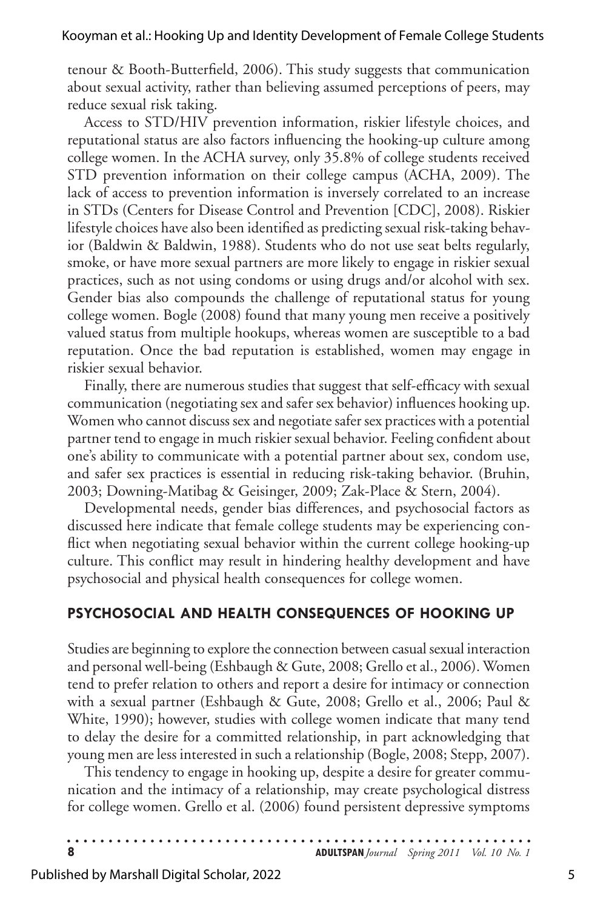tenour & Booth-Butterfield, 2006). This study suggests that communication about sexual activity, rather than believing assumed perceptions of peers, may reduce sexual risk taking.

Access to STD/HIV prevention information, riskier lifestyle choices, and reputational status are also factors influencing the hooking-up culture among college women. In the ACHA survey, only 35.8% of college students received STD prevention information on their college campus (ACHA, 2009). The lack of access to prevention information is inversely correlated to an increase in STDs (Centers for Disease Control and Prevention [CDC], 2008). Riskier lifestyle choices have also been identified as predicting sexual risk-taking behavior (Baldwin & Baldwin, 1988). Students who do not use seat belts regularly, smoke, or have more sexual partners are more likely to engage in riskier sexual practices, such as not using condoms or using drugs and/or alcohol with sex. Gender bias also compounds the challenge of reputational status for young college women. Bogle (2008) found that many young men receive a positively valued status from multiple hookups, whereas women are susceptible to a bad reputation. Once the bad reputation is established, women may engage in riskier sexual behavior.

Finally, there are numerous studies that suggest that self-efficacy with sexual communication (negotiating sex and safer sex behavior) influences hooking up. Women who cannot discuss sex and negotiate safer sex practices with a potential partner tend to engage in much riskier sexual behavior. Feeling confident about one's ability to communicate with a potential partner about sex, condom use, and safer sex practices is essential in reducing risk-taking behavior. (Bruhin, 2003; Downing-Matibag & Geisinger, 2009; Zak-Place & Stern, 2004).

Developmental needs, gender bias differences, and psychosocial factors as discussed here indicate that female college students may be experiencing conflict when negotiating sexual behavior within the current college hooking-up culture. This conflict may result in hindering healthy development and have psychosocial and physical health consequences for college women.

#### **PSYCHOSOCIAL AND HEALTH CONSEQUENCES OF HOOKING UP**

Studies are beginning to explore the connection between casual sexual interaction and personal well-being (Eshbaugh & Gute, 2008; Grello et al., 2006). Women tend to prefer relation to others and report a desire for intimacy or connection with a sexual partner (Eshbaugh & Gute, 2008; Grello et al., 2006; Paul & White, 1990); however, studies with college women indicate that many tend to delay the desire for a committed relationship, in part acknowledging that young men are less interested in such a relationship (Bogle, 2008; Stepp, 2007).

This tendency to engage in hooking up, despite a desire for greater communication and the intimacy of a relationship, may create psychological distress for college women. Grello et al. (2006) found persistent depressive symptoms

| <b>ADULTSPAN</b> Journal Spring 2011 Vol. 10 No. 1 |  |
|----------------------------------------------------|--|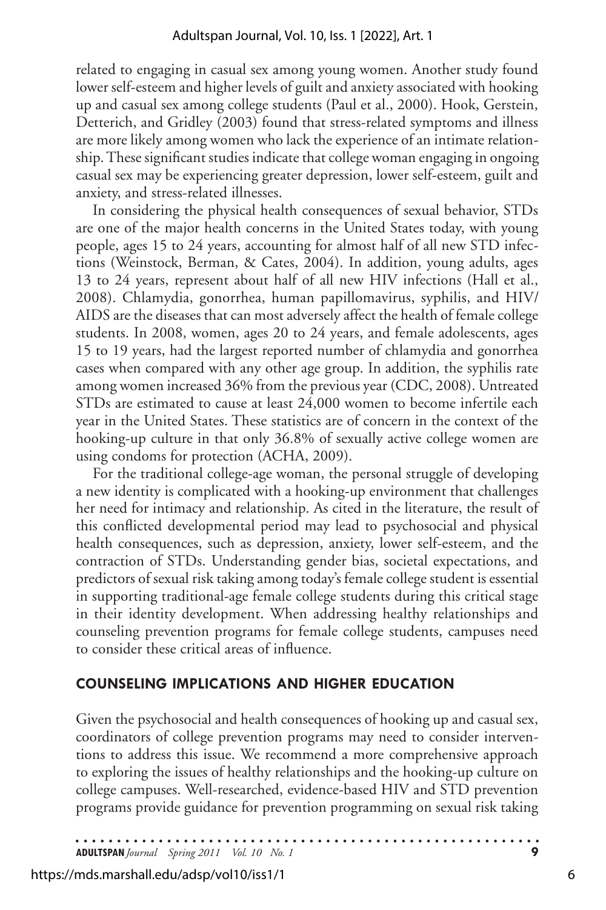related to engaging in casual sex among young women. Another study found lower self-esteem and higher levels of guilt and anxiety associated with hooking up and casual sex among college students (Paul et al., 2000). Hook, Gerstein, Detterich, and Gridley (2003) found that stress-related symptoms and illness are more likely among women who lack the experience of an intimate relationship. These significant studies indicate that college woman engaging in ongoing casual sex may be experiencing greater depression, lower self-esteem, guilt and anxiety, and stress-related illnesses.

In considering the physical health consequences of sexual behavior, STDs are one of the major health concerns in the United States today, with young people, ages 15 to 24 years, accounting for almost half of all new STD infections (Weinstock, Berman, & Cates, 2004). In addition, young adults, ages 13 to 24 years, represent about half of all new HIV infections (Hall et al., 2008). Chlamydia, gonorrhea, human papillomavirus, syphilis, and HIV/ AIDS are the diseases that can most adversely affect the health of female college students. In 2008, women, ages 20 to 24 years, and female adolescents, ages 15 to 19 years, had the largest reported number of chlamydia and gonorrhea cases when compared with any other age group. In addition, the syphilis rate among women increased 36% from the previous year (CDC, 2008). Untreated STDs are estimated to cause at least 24,000 women to become infertile each year in the United States. These statistics are of concern in the context of the hooking-up culture in that only 36.8% of sexually active college women are using condoms for protection (ACHA, 2009).

For the traditional college-age woman, the personal struggle of developing a new identity is complicated with a hooking-up environment that challenges her need for intimacy and relationship. As cited in the literature, the result of this conflicted developmental period may lead to psychosocial and physical health consequences, such as depression, anxiety, lower self-esteem, and the contraction of STDs. Understanding gender bias, societal expectations, and predictors of sexual risk taking among today's female college student is essential in supporting traditional-age female college students during this critical stage in their identity development. When addressing healthy relationships and counseling prevention programs for female college students, campuses need to consider these critical areas of influence.

#### **COUNSELING IMPLICATIONS AND HIGHER EDUCATION**

Given the psychosocial and health consequences of hooking up and casual sex, coordinators of college prevention programs may need to consider interventions to address this issue. We recommend a more comprehensive approach to exploring the issues of healthy relationships and the hooking-up culture on college campuses. Well-researched, evidence-based HIV and STD prevention programs provide guidance for prevention programming on sexual risk taking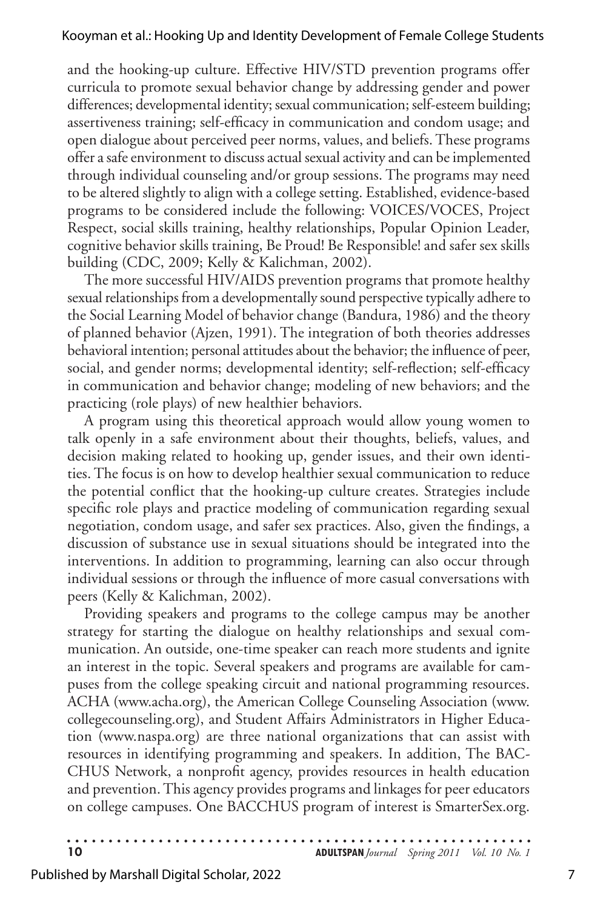and the hooking-up culture. Effective HIV/STD prevention programs offer curricula to promote sexual behavior change by addressing gender and power differences; developmental identity; sexual communication; self-esteem building; assertiveness training; self-efficacy in communication and condom usage; and open dialogue about perceived peer norms, values, and beliefs. These programs offer a safe environment to discuss actual sexual activity and can be implemented through individual counseling and/or group sessions. The programs may need to be altered slightly to align with a college setting. Established, evidence-based programs to be considered include the following: VOICES/VOCES, Project Respect, social skills training, healthy relationships, Popular Opinion Leader, cognitive behavior skills training, Be Proud! Be Responsible! and safer sex skills building (CDC, 2009; Kelly & Kalichman, 2002).

The more successful HIV/AIDS prevention programs that promote healthy sexual relationships from a developmentally sound perspective typically adhere to the Social Learning Model of behavior change (Bandura, 1986) and the theory of planned behavior (Ajzen, 1991). The integration of both theories addresses behavioral intention; personal attitudes about the behavior; the influence of peer, social, and gender norms; developmental identity; self-reflection; self-efficacy in communication and behavior change; modeling of new behaviors; and the practicing (role plays) of new healthier behaviors.

A program using this theoretical approach would allow young women to talk openly in a safe environment about their thoughts, beliefs, values, and decision making related to hooking up, gender issues, and their own identities. The focus is on how to develop healthier sexual communication to reduce the potential conflict that the hooking-up culture creates. Strategies include specific role plays and practice modeling of communication regarding sexual negotiation, condom usage, and safer sex practices. Also, given the findings, a discussion of substance use in sexual situations should be integrated into the interventions. In addition to programming, learning can also occur through individual sessions or through the influence of more casual conversations with peers (Kelly & Kalichman, 2002).

Providing speakers and programs to the college campus may be another strategy for starting the dialogue on healthy relationships and sexual communication. An outside, one-time speaker can reach more students and ignite an interest in the topic. Several speakers and programs are available for campuses from the college speaking circuit and national programming resources. ACHA (www.acha.org), the American College Counseling Association (www. collegecounseling.org), and Student Affairs Administrators in Higher Education (www.naspa.org) are three national organizations that can assist with resources in identifying programming and speakers. In addition, The BAC-CHUS Network, a nonprofit agency, provides resources in health education and prevention. This agency provides programs and linkages for peer educators on college campuses. One BACCHUS program of interest is SmarterSex.org.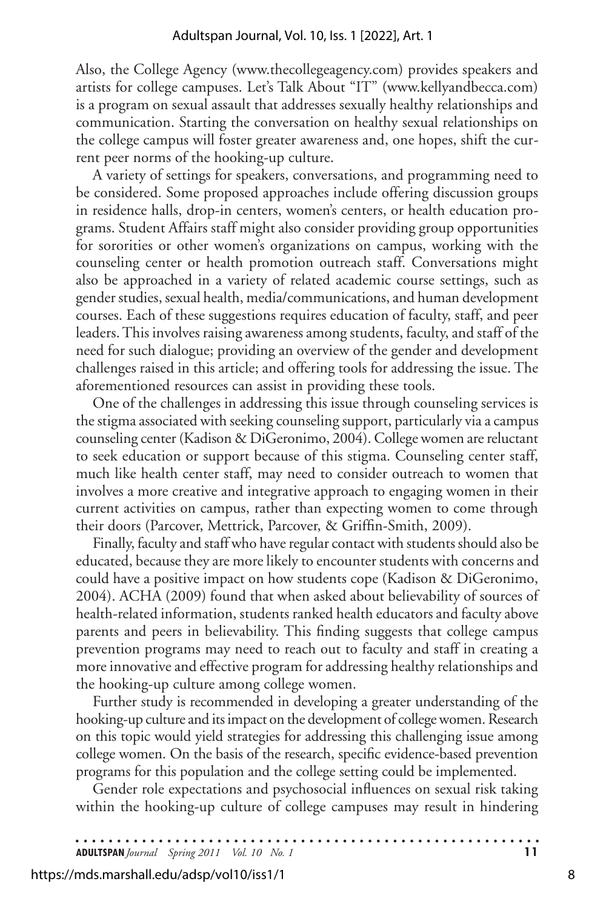Also, the College Agency (www.thecollegeagency.com) provides speakers and artists for college campuses. Let's Talk About "IT" (www.kellyandbecca.com) is a program on sexual assault that addresses sexually healthy relationships and communication. Starting the conversation on healthy sexual relationships on the college campus will foster greater awareness and, one hopes, shift the current peer norms of the hooking-up culture.

A variety of settings for speakers, conversations, and programming need to be considered. Some proposed approaches include offering discussion groups in residence halls, drop-in centers, women's centers, or health education programs. Student Affairs staff might also consider providing group opportunities for sororities or other women's organizations on campus, working with the counseling center or health promotion outreach staff. Conversations might also be approached in a variety of related academic course settings, such as gender studies, sexual health, media/communications, and human development courses. Each of these suggestions requires education of faculty, staff, and peer leaders. This involves raising awareness among students, faculty, and staff of the need for such dialogue; providing an overview of the gender and development challenges raised in this article; and offering tools for addressing the issue. The aforementioned resources can assist in providing these tools.

One of the challenges in addressing this issue through counseling services is the stigma associated with seeking counseling support, particularly via a campus counseling center (Kadison & DiGeronimo, 2004). College women are reluctant to seek education or support because of this stigma. Counseling center staff, much like health center staff, may need to consider outreach to women that involves a more creative and integrative approach to engaging women in their current activities on campus, rather than expecting women to come through their doors (Parcover, Mettrick, Parcover, & Griffin-Smith, 2009).

Finally, faculty and staff who have regular contact with students should also be educated, because they are more likely to encounter students with concerns and could have a positive impact on how students cope (Kadison & DiGeronimo, 2004). ACHA (2009) found that when asked about believability of sources of health-related information, students ranked health educators and faculty above parents and peers in believability. This finding suggests that college campus prevention programs may need to reach out to faculty and staff in creating a more innovative and effective program for addressing healthy relationships and the hooking-up culture among college women.

Further study is recommended in developing a greater understanding of the hooking-up culture and its impact on the development of college women. Research on this topic would yield strategies for addressing this challenging issue among college women. On the basis of the research, specific evidence-based prevention programs for this population and the college setting could be implemented.

Gender role expectations and psychosocial influences on sexual risk taking within the hooking-up culture of college campuses may result in hindering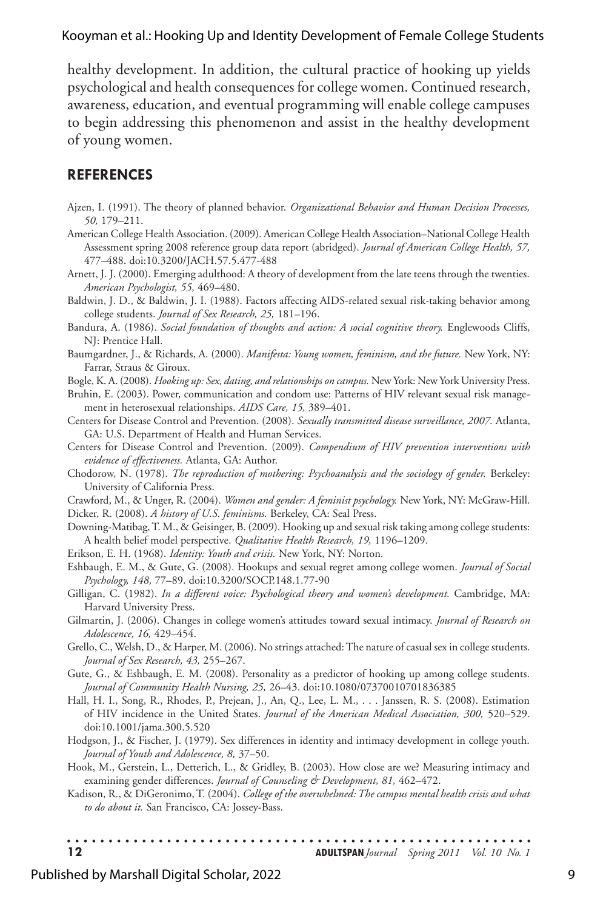healthy development. In addition, the cultural practice of hooking up yields psychological and health consequences for college women. Continued research, awareness, education, and eventual programming will enable college campuses to begin addressing this phenomenon and assist in the healthy development of young women.

#### **REFERENCES**

- Ajzen, I. (1991). The theory of planned behavior. *Organizational Behavior and Human Decision Processes, 50,* 179–211.
- American College Health Association. (2009). American College Health Association–National College Health Assessment spring 2008 reference group data report (abridged). *Journal of American College Health, 57,* 477–488. doi:10.3200/JACH.57.5.477-488
- Arnett, J. J. (2000). Emerging adulthood: A theory of development from the late teens through the twenties. *American Psychologist, 55,* 469–480.
- Baldwin, J. D., & Baldwin, J. I. (1988). Factors affecting AIDS-related sexual risk-taking behavior among college students. *Journal of Sex Research, 25,* 181–196.
- Bandura, A. (1986). *Social foundation of thoughts and action: A social cognitive theory.* Englewoods Cliffs, NJ: Prentice Hall.
- Baumgardner, J., & Richards, A. (2000). *Manifesta: Young women, feminism, and the future.* New York, NY: Farrar, Straus & Giroux.
- Bogle, K. A. (2008). *Hooking up: Sex, dating, and relationships on campus.* New York: New York University Press.
- Bruhin, E. (2003). Power, communication and condom use: Patterns of HIV relevant sexual risk management in heterosexual relationships. *AIDS Care, 15,* 389–401.
- Centers for Disease Control and Prevention. (2008). *Sexually transmitted disease surveillance, 2007.* Atlanta, GA: U.S. Department of Health and Human Services.
- Centers for Disease Control and Prevention. (2009). *Compendium of HIV prevention interventions with evidence of effectiveness.* Atlanta, GA: Author.
- Chodorow, N. (1978). *The reproduction of mothering: Psychoanalysis and the sociology of gender.* Berkeley: University of California Press.
- Crawford, M., & Unger, R. (2004). *Women and gender: A feminist psychology.* New York, NY: McGraw-Hill.
- Dicker, R. (2008). *A history of U.S. feminisms.* Berkeley, CA: Seal Press.
- Downing-Matibag, T. M., & Geisinger, B. (2009). Hooking up and sexual risk taking among college students: A health belief model perspective. *Qualitative Health Research, 19,* 1196–1209.
- Erikson, E. H. (1968). *Identity: Youth and crisis.* New York, NY: Norton*.*
- Eshbaugh, E. M., & Gute, G. (2008). Hookups and sexual regret among college women. *Journal of Social Psychology, 148,* 77–89. doi:10.3200/SOCP.148.1.77-90
- Gilligan, C. (1982). *In a different voice: Psychological theory and women's development.* Cambridge, MA: Harvard University Press.
- Gilmartin, J. (2006). Changes in college women's attitudes toward sexual intimacy. *Journal of Research on Adolescence, 16,* 429–454.
- Grello, C., Welsh, D., & Harper, M. (2006). No strings attached: The nature of casual sex in college students. *Journal of Sex Research, 43,* 255–267.
- Gute, G., & Eshbaugh, E. M. (2008). Personality as a predictor of hooking up among college students. *Journal of Community Health Nursing, 25,* 26–43. doi:10.1080/07370010701836385
- Hall, H. I., Song, R., Rhodes, P., Prejean, J., An, Q., Lee, L. M., . . . Janssen, R. S. (2008). Estimation of HIV incidence in the United States. *Journal of the American Medical Association, 300,* 520–529. doi:10.1001/jama.300.5.520
- Hodgson, J., & Fischer, J. (1979). Sex differences in identity and intimacy development in college youth. *Journal of Youth and Adolescence, 8,* 37–50.
- Hook, M., Gerstein, L., Detterich, L., & Gridley, B. (2003). How close are we? Measuring intimacy and examining gender differences. *Journal of Counseling & Development, 81,* 462–472.
- Kadison, R., & DiGeronimo, T. (2004). *College of the overwhelmed: The campus mental health crisis and what to do about it.* San Francisco, CA: Jossey-Bass.
- **12 ADULTSPAN***Journal Spring 2011 Vol. 10 No. 1*

#### Published by Marshall Digital Scholar, 2022